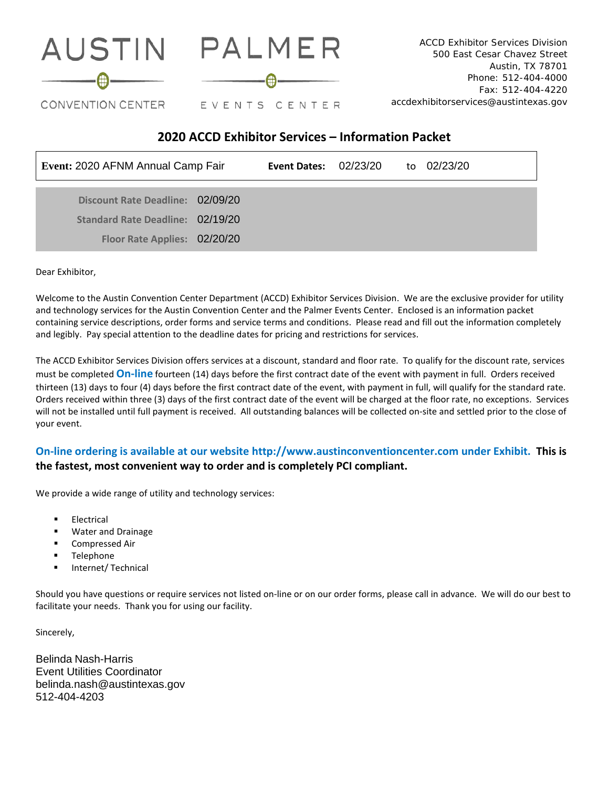



# **2020 ACCD Exhibitor Services – Information Packet**

| Event: 2020 AFNM Annual Camp Fair | <b>Event Dates: 02/23/20</b> | to | 02/23/20 |
|-----------------------------------|------------------------------|----|----------|
| Discount Rate Deadline: 02/09/20  |                              |    |          |
| Standard Rate Deadline: 02/19/20  |                              |    |          |
| Floor Rate Applies: 02/20/20      |                              |    |          |

Dear Exhibitor,

Welcome to the Austin Convention Center Department (ACCD) Exhibitor Services Division. We are the exclusive provider for utility and technology services for the Austin Convention Center and the Palmer Events Center. Enclosed is an information packet containing service descriptions, order forms and service terms and conditions. Please read and fill out the information completely and legibly. Pay special attention to the deadline dates for pricing and restrictions for services.

The ACCD Exhibitor Services Division offers services at a discount, standard and floor rate. To qualify for the discount rate, services must be completed **On-line** fourteen (14) days before the first contract date of the event with payment in full. Orders received thirteen (13) days to four (4) days before the first contract date of the event, with payment in full, will qualify for the standard rate. Orders received within three (3) days of the first contract date of the event will be charged at the floor rate, no exceptions. Services will not be installed until full payment is received. All outstanding balances will be collected on-site and settled prior to the close of your event.

# **On-line ordering is available at our website http://www.austinconventioncenter.com under Exhibit. This is the fastest, most convenient way to order and is completely PCI compliant.**

We provide a wide range of utility and technology services:

- Electrical
- Water and Drainage
- Compressed Air
- Telephone
- Internet/ Technical

Should you have questions or require services not listed on-line or on our order forms, please call in advance. We will do our best to facilitate your needs. Thank you for using our facility.

Sincerely,

Belinda Nash-Harris Event Utilities Coordinator belinda.nash@austintexas.gov 512-404-4203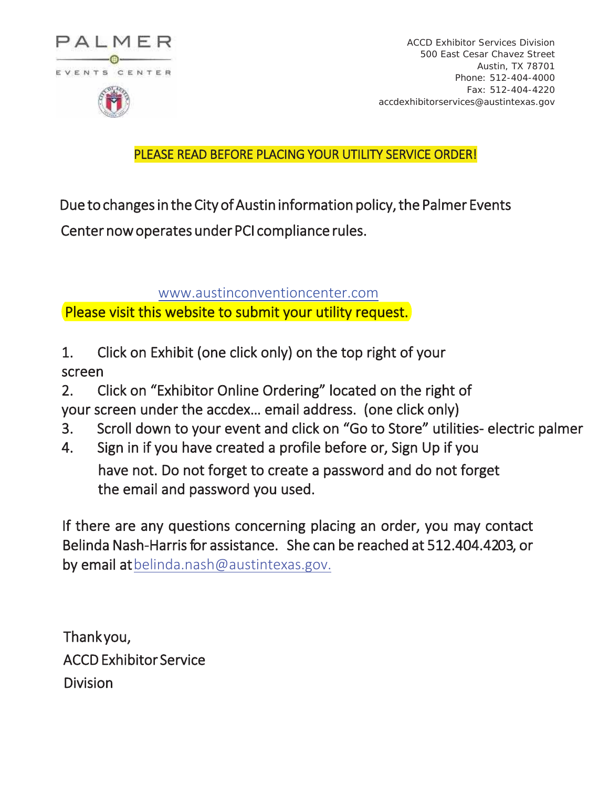

ACCD Exhibitor Services Division 500 East Cesar Chavez Street Austin, TX 78701 Phone: 512-404-4000 Fax: 512-404-4220 accdexhibitorservices@austintexas.gov

# PLEASE READ BEFORE PLACING YOUR UTILITY SERVICE ORDER!

Due to changes in the City of Austin information policy, the Palmer Events

Center now operates under PCI compliance rules.

# www.austinconventioncenter.com

Please visit this website to submit your utility request.

- 1. Click on Exhibit (one click only) on the top right of your screen
- 2. Click on "Exhibitor Online Ordering" located on the right of
- your screen under the accdex… email address. (one click only)
- 3. Scroll down to your event and click on "Go to Store" utilities- electric palmer
- 4. Sign in if you have created a profile before or, Sign Up if you have not. Do not forget to create a password and do not forget the email and password you used.

If there are any questions concerning placing an order, you may contact Belinda Nash-Harris for assistance. She can be reached at 512.404.4203, or by email at belinda.nash@austintexas.gov.

Thank you, ACCD Exhibitor Service Division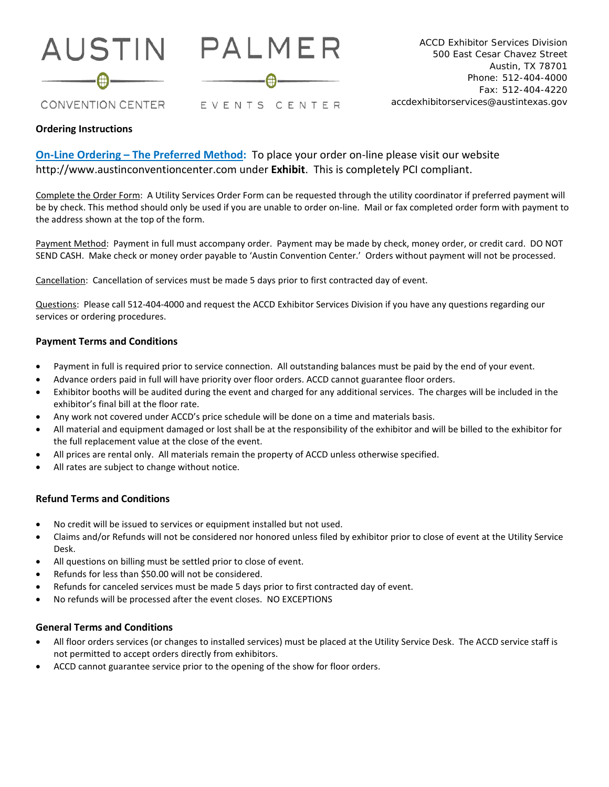



# **Ordering Instructions**

**On-Line Ordering – The Preferred Method:** To place your order on-line please visit our website http://www.austinconventioncenter.com under **Exhibit**. This is completely PCI compliant.

EVENTS CENTER

Complete the Order Form: A Utility Services Order Form can be requested through the utility coordinator if preferred payment will be by check. This method should only be used if you are unable to order on-line. Mail or fax completed order form with payment to the address shown at the top of the form.

Payment Method: Payment in full must accompany order. Payment may be made by check, money order, or credit card. DO NOT SEND CASH. Make check or money order payable to 'Austin Convention Center.' Orders without payment will not be processed.

Cancellation: Cancellation of services must be made 5 days prior to first contracted day of event.

Questions: Please call 512-404-4000 and request the ACCD Exhibitor Services Division if you have any questions regarding our services or ordering procedures.

### **Payment Terms and Conditions**

- Payment in full is required prior to service connection. All outstanding balances must be paid by the end of your event.
- Advance orders paid in full will have priority over floor orders. ACCD cannot guarantee floor orders.
- Exhibitor booths will be audited during the event and charged for any additional services. The charges will be included in the exhibitor's final bill at the floor rate.
- Any work not covered under ACCD's price schedule will be done on a time and materials basis.
- All material and equipment damaged or lost shall be at the responsibility of the exhibitor and will be billed to the exhibitor for the full replacement value at the close of the event.
- All prices are rental only. All materials remain the property of ACCD unless otherwise specified.
- All rates are subject to change without notice.

### **Refund Terms and Conditions**

- No credit will be issued to services or equipment installed but not used.
- Claims and/or Refunds will not be considered nor honored unless filed by exhibitor prior to close of event at the Utility Service Desk.
- All questions on billing must be settled prior to close of event.
- Refunds for less than \$50.00 will not be considered.
- Refunds for canceled services must be made 5 days prior to first contracted day of event.
- No refunds will be processed after the event closes. NO EXCEPTIONS

### **General Terms and Conditions**

- All floor orders services (or changes to installed services) must be placed at the Utility Service Desk. The ACCD service staff is not permitted to accept orders directly from exhibitors.
- ACCD cannot guarantee service prior to the opening of the show for floor orders.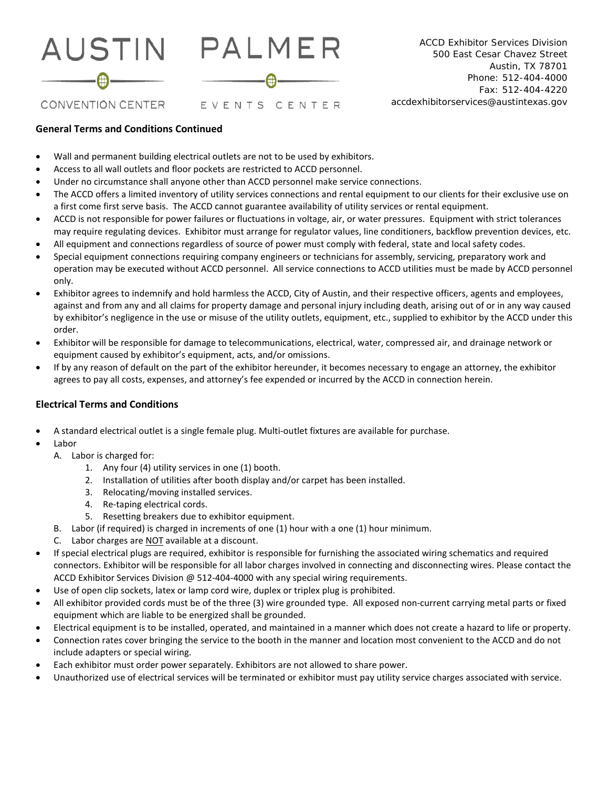

# PALMER

EVENTS CENTER



# CONVENTION CENTER

# **General Terms and Conditions Continued**

- Wall and permanent building electrical outlets are not to be used by exhibitors.
- Access to all wall outlets and floor pockets are restricted to ACCD personnel.
- Under no circumstance shall anyone other than ACCD personnel make service connections.
- The ACCD offers a limited inventory of utility services connections and rental equipment to our clients for their exclusive use on a first come first serve basis. The ACCD cannot guarantee availability of utility services or rental equipment.
- ACCD is not responsible for power failures or fluctuations in voltage, air, or water pressures. Equipment with strict tolerances may require regulating devices. Exhibitor must arrange for regulator values, line conditioners, backflow prevention devices, etc.
- All equipment and connections regardless of source of power must comply with federal, state and local safety codes.
- Special equipment connections requiring company engineers or technicians for assembly, servicing, preparatory work and operation may be executed without ACCD personnel. All service connections to ACCD utilities must be made by ACCD personnel only.
- Exhibitor agrees to indemnify and hold harmless the ACCD, City of Austin, and their respective officers, agents and employees, against and from any and all claims for property damage and personal injury including death, arising out of or in any way caused by exhibitor's negligence in the use or misuse of the utility outlets, equipment, etc., supplied to exhibitor by the ACCD under this order.
- Exhibitor will be responsible for damage to telecommunications, electrical, water, compressed air, and drainage network or equipment caused by exhibitor's equipment, acts, and/or omissions.
- If by any reason of default on the part of the exhibitor hereunder, it becomes necessary to engage an attorney, the exhibitor agrees to pay all costs, expenses, and attorney's fee expended or incurred by the ACCD in connection herein.

# **Electrical Terms and Conditions**

- A standard electrical outlet is a single female plug. Multi-outlet fixtures are available for purchase.
- Labor
	- A. Labor is charged for:
		- 1. Any four (4) utility services in one (1) booth.
		- 2. Installation of utilities after booth display and/or carpet has been installed.
		- 3. Relocating/moving installed services.
		- 4. Re-taping electrical cords.
		- 5. Resetting breakers due to exhibitor equipment.
		- B. Labor (if required) is charged in increments of one (1) hour with a one (1) hour minimum.
		- C. Labor charges are NOT available at a discount.
- If special electrical plugs are required, exhibitor is responsible for furnishing the associated wiring schematics and required connectors. Exhibitor will be responsible for all labor charges involved in connecting and disconnecting wires. Please contact the ACCD Exhibitor Services Division @ 512-404-4000 with any special wiring requirements.
- Use of open clip sockets, latex or lamp cord wire, duplex or triplex plug is prohibited.
- All exhibitor provided cords must be of the three (3) wire grounded type. All exposed non-current carrying metal parts or fixed equipment which are liable to be energized shall be grounded.
- Electrical equipment is to be installed, operated, and maintained in a manner which does not create a hazard to life or property.
- Connection rates cover bringing the service to the booth in the manner and location most convenient to the ACCD and do not include adapters or special wiring.
- Each exhibitor must order power separately. Exhibitors are not allowed to share power.
- Unauthorized use of electrical services will be terminated or exhibitor must pay utility service charges associated with service.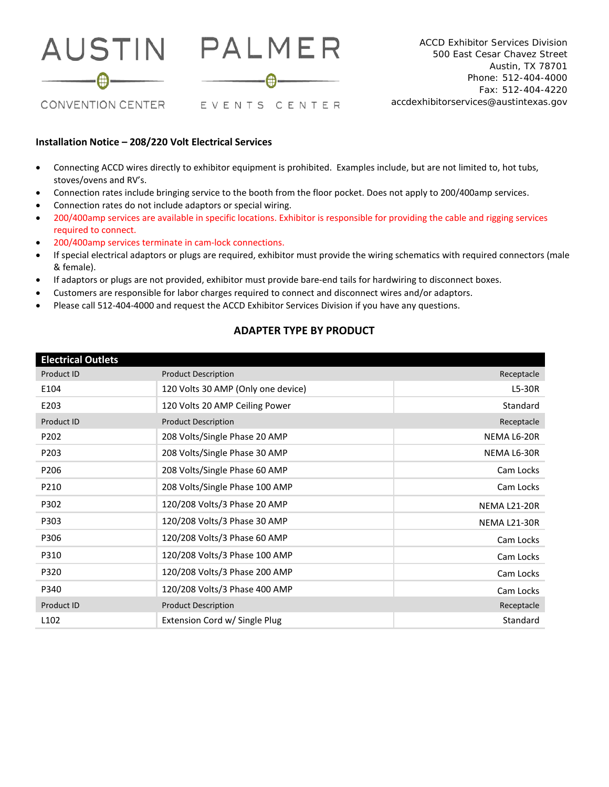



# **Installation Notice – 208/220 Volt Electrical Services**

- Connecting ACCD wires directly to exhibitor equipment is prohibited. Examples include, but are not limited to, hot tubs, stoves/ovens and RV's.
- Connection rates include bringing service to the booth from the floor pocket. Does not apply to 200/400amp services.
- Connection rates do not include adaptors or special wiring.
- 200/400amp services are available in specific locations. Exhibitor is responsible for providing the cable and rigging services required to connect.
- 200/400amp services terminate in cam-lock connections.
- If special electrical adaptors or plugs are required, exhibitor must provide the wiring schematics with required connectors (male & female).
- If adaptors or plugs are not provided, exhibitor must provide bare-end tails for hardwiring to disconnect boxes.
- Customers are responsible for labor charges required to connect and disconnect wires and/or adaptors.
- Please call 512-404-4000 and request the ACCD Exhibitor Services Division if you have any questions.

# **ADAPTER TYPE BY PRODUCT**

| <b>Electrical Outlets</b> |                                    |                     |
|---------------------------|------------------------------------|---------------------|
| <b>Product ID</b>         | <b>Product Description</b>         | Receptacle          |
| E104                      | 120 Volts 30 AMP (Only one device) | L5-30R              |
| E203                      | 120 Volts 20 AMP Ceiling Power     | Standard            |
| Product ID                | <b>Product Description</b>         | Receptacle          |
| P202                      | 208 Volts/Single Phase 20 AMP      | NEMA L6-20R         |
| P203                      | 208 Volts/Single Phase 30 AMP      | NEMA L6-30R         |
| P206                      | 208 Volts/Single Phase 60 AMP      | Cam Locks           |
| P210                      | 208 Volts/Single Phase 100 AMP     | Cam Locks           |
| P302                      | 120/208 Volts/3 Phase 20 AMP       | <b>NEMA L21-20R</b> |
| P303                      | 120/208 Volts/3 Phase 30 AMP       | <b>NEMA L21-30R</b> |
| P306                      | 120/208 Volts/3 Phase 60 AMP       | Cam Locks           |
| P310                      | 120/208 Volts/3 Phase 100 AMP      | Cam Locks           |
| P320                      | 120/208 Volts/3 Phase 200 AMP      | Cam Locks           |
| P340                      | 120/208 Volts/3 Phase 400 AMP      | Cam Locks           |
| <b>Product ID</b>         | <b>Product Description</b>         | Receptacle          |
| L <sub>102</sub>          | Extension Cord w/ Single Plug      | Standard            |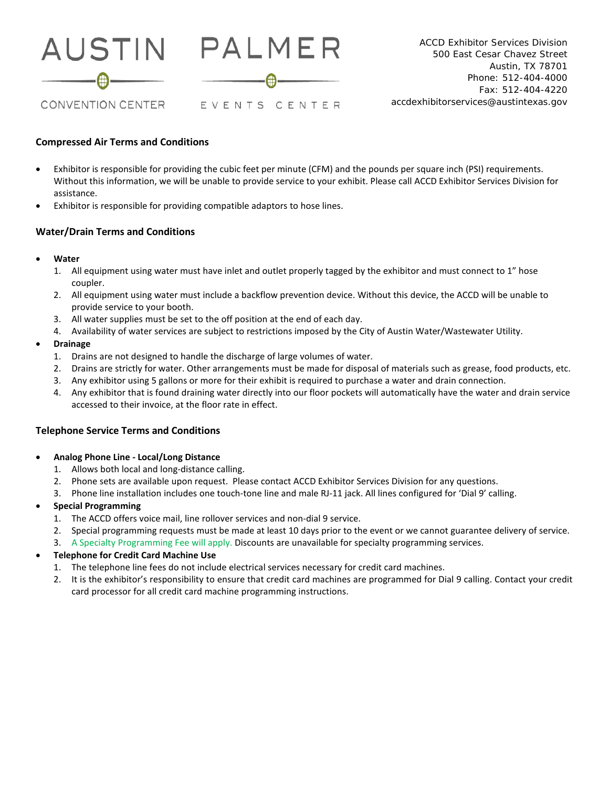



- Exhibitor is responsible for providing the cubic feet per minute (CFM) and the pounds per square inch (PSI) requirements. Without this information, we will be unable to provide service to your exhibit. Please call ACCD Exhibitor Services Division for
- Exhibitor is responsible for providing compatible adaptors to hose lines.

# **Water/Drain Terms and Conditions**

**Compressed Air Terms and Conditions**

• **Water**

assistance.

- 1. All equipment using water must have inlet and outlet properly tagged by the exhibitor and must connect to 1" hose coupler.
- 2. All equipment using water must include a backflow prevention device. Without this device, the ACCD will be unable to provide service to your booth.
- 3. All water supplies must be set to the off position at the end of each day.
- 4. Availability of water services are subject to restrictions imposed by the City of Austin Water/Wastewater Utility.

# • **Drainage**

- 1. Drains are not designed to handle the discharge of large volumes of water.
- 2. Drains are strictly for water. Other arrangements must be made for disposal of materials such as grease, food products, etc.
- 3. Any exhibitor using 5 gallons or more for their exhibit is required to purchase a water and drain connection.
- 4. Any exhibitor that is found draining water directly into our floor pockets will automatically have the water and drain service accessed to their invoice, at the floor rate in effect.

# **Telephone Service Terms and Conditions**

- **Analog Phone Line - Local/Long Distance**
	- 1. Allows both local and long-distance calling.
	- 2. Phone sets are available upon request. Please contact ACCD Exhibitor Services Division for any questions.
	- 3. Phone line installation includes one touch-tone line and male RJ-11 jack. All lines configured for 'Dial 9' calling.

# • **Special Programming**

- 1. The ACCD offers voice mail, line rollover services and non-dial 9 service.
- 2. Special programming requests must be made at least 10 days prior to the event or we cannot guarantee delivery of service.
- 3. A Specialty Programming Fee will apply. Discounts are unavailable for specialty programming services.

### • **Telephone for Credit Card Machine Use**

- 1. The telephone line fees do not include electrical services necessary for credit card machines.
- 2. It is the exhibitor's responsibility to ensure that credit card machines are programmed for Dial 9 calling. Contact your credit card processor for all credit card machine programming instructions.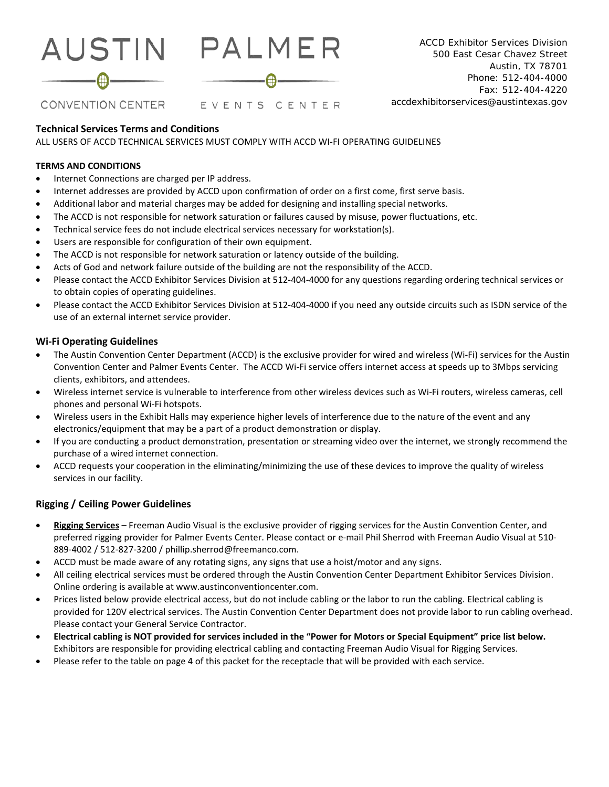



# CONVENTION CENTER

# **Technical Services Terms and Conditions**

ALL USERS OF ACCD TECHNICAL SERVICES MUST COMPLY WITH ACCD WI-FI OPERATING GUIDELINES

## **TERMS AND CONDITIONS**

- Internet Connections are charged per IP address.
- Internet addresses are provided by ACCD upon confirmation of order on a first come, first serve basis.
- Additional labor and material charges may be added for designing and installing special networks.
- The ACCD is not responsible for network saturation or failures caused by misuse, power fluctuations, etc.
- Technical service fees do not include electrical services necessary for workstation(s).
- Users are responsible for configuration of their own equipment.
- The ACCD is not responsible for network saturation or latency outside of the building.
- Acts of God and network failure outside of the building are not the responsibility of the ACCD.
- Please contact the ACCD Exhibitor Services Division at 512-404-4000 for any questions regarding ordering technical services or to obtain copies of operating guidelines.
- Please contact the ACCD Exhibitor Services Division at 512-404-4000 if you need any outside circuits such as ISDN service of the use of an external internet service provider.

# **Wi-Fi Operating Guidelines**

- The Austin Convention Center Department (ACCD) is the exclusive provider for wired and wireless (Wi-Fi) services for the Austin Convention Center and Palmer Events Center. The ACCD Wi-Fi service offers internet access at speeds up to 3Mbps servicing clients, exhibitors, and attendees.
- Wireless internet service is vulnerable to interference from other wireless devices such as Wi-Fi routers, wireless cameras, cell phones and personal Wi-Fi hotspots.
- Wireless users in the Exhibit Halls may experience higher levels of interference due to the nature of the event and any electronics/equipment that may be a part of a product demonstration or display.
- If you are conducting a product demonstration, presentation or streaming video over the internet, we strongly recommend the purchase of a wired internet connection.
- ACCD requests your cooperation in the eliminating/minimizing the use of these devices to improve the quality of wireless services in our facility.

# **Rigging / Ceiling Power Guidelines**

- **Rigging Services** Freeman Audio Visual is the exclusive provider of rigging services for the Austin Convention Center, and preferred rigging provider for Palmer Events Center. Please contact or e-mail Phil Sherrod with Freeman Audio Visual at 510- 889-4002 / 512-827-3200 / phillip.sherrod@freemanco.com.
- ACCD must be made aware of any rotating signs, any signs that use a hoist/motor and any signs.
- All ceiling electrical services must be ordered through the Austin Convention Center Department Exhibitor Services Division. Online ordering is available at www.austinconventioncenter.com.
- Prices listed below provide electrical access, but do not include cabling or the labor to run the cabling. Electrical cabling is provided for 120V electrical services. The Austin Convention Center Department does not provide labor to run cabling overhead. Please contact your General Service Contractor.
- **Electrical cabling is NOT provided for services included in the "Power for Motors or Special Equipment" price list below.** Exhibitors are responsible for providing electrical cabling and contacting Freeman Audio Visual for Rigging Services.
- Please refer to the table on page 4 of this packet for the receptacle that will be provided with each service.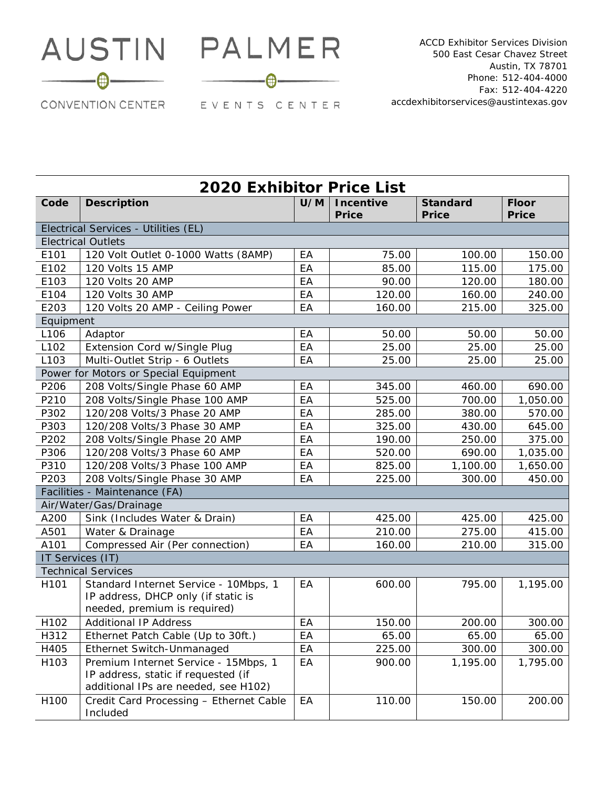



ACCD Exhibitor Services Division 500 East Cesar Chavez Street Austin, TX 78701 Phone: 512-404-4000 Fax: 512-404-4220 accdexhibitorservices@austintexas.gov

| <b>2020 Exhibitor Price List</b> |                                                                                                                     |     |                                  |                                 |                              |
|----------------------------------|---------------------------------------------------------------------------------------------------------------------|-----|----------------------------------|---------------------------------|------------------------------|
| Code                             | <b>Description</b>                                                                                                  | U/M | <b>Incentive</b><br><b>Price</b> | <b>Standard</b><br><b>Price</b> | <b>Floor</b><br><b>Price</b> |
|                                  | Electrical Services - Utilities (EL)                                                                                |     |                                  |                                 |                              |
|                                  | <b>Electrical Outlets</b>                                                                                           |     |                                  |                                 |                              |
| E101                             | 120 Volt Outlet 0-1000 Watts (8AMP)                                                                                 | EA  | 75.00                            | 100.00                          | 150.00                       |
| E102                             | 120 Volts 15 AMP                                                                                                    | EA  | 85.00                            | 115.00                          | 175.00                       |
| E103                             | 120 Volts 20 AMP                                                                                                    | EA  | 90.00                            | 120.00                          | 180.00                       |
| E104                             | 120 Volts 30 AMP                                                                                                    | EA  | 120.00                           | 160.00                          | 240.00                       |
| E203                             | 120 Volts 20 AMP - Ceiling Power                                                                                    | EA  | 160.00                           | 215.00                          | 325.00                       |
| Equipment                        |                                                                                                                     |     |                                  |                                 |                              |
| L106                             | Adaptor                                                                                                             | EA  | 50.00                            | 50.00                           | 50.00                        |
| L102                             | Extension Cord w/Single Plug                                                                                        | EA  | 25.00                            | 25.00                           | 25.00                        |
| L103                             | Multi-Outlet Strip - 6 Outlets                                                                                      | EA  | 25.00                            | 25.00                           | 25.00                        |
|                                  | Power for Motors or Special Equipment                                                                               |     |                                  |                                 |                              |
| P206                             | 208 Volts/Single Phase 60 AMP                                                                                       | EA  | 345.00                           | 460.00                          | 690.00                       |
| P210                             | 208 Volts/Single Phase 100 AMP                                                                                      | EA  | 525.00                           | 700.00                          | 1,050.00                     |
| P302                             | 120/208 Volts/3 Phase 20 AMP                                                                                        | EA  | 285.00                           | 380.00                          | 570.00                       |
| P303                             | 120/208 Volts/3 Phase 30 AMP                                                                                        | EA  | 325.00                           | 430.00                          | 645.00                       |
| P202                             | 208 Volts/Single Phase 20 AMP                                                                                       | EA  | 190.00                           | 250.00                          | 375.00                       |
| P306                             | 120/208 Volts/3 Phase 60 AMP                                                                                        | EA  | 520.00                           | 690.00                          | 1,035.00                     |
| P310                             | 120/208 Volts/3 Phase 100 AMP                                                                                       | EA  | 825.00                           | 1,100.00                        | 1,650.00                     |
| P203                             | 208 Volts/Single Phase 30 AMP                                                                                       | EA  | 225.00                           | 300.00                          | 450.00                       |
|                                  | Facilities - Maintenance (FA)                                                                                       |     |                                  |                                 |                              |
|                                  | Air/Water/Gas/Drainage                                                                                              |     |                                  |                                 |                              |
| A200                             | Sink (Includes Water & Drain)                                                                                       | EA  | 425.00                           | 425.00                          | 425.00                       |
| A501                             | Water & Drainage                                                                                                    | EA  | 210.00                           | 275.00                          | 415.00                       |
| A101                             | Compressed Air (Per connection)                                                                                     | EA  | 160.00                           | 210.00                          | 315.00                       |
|                                  | IT Services (IT)                                                                                                    |     |                                  |                                 |                              |
|                                  | <b>Technical Services</b>                                                                                           |     |                                  |                                 |                              |
| H101                             | Standard Internet Service - 10Mbps, 1<br>IP address, DHCP only (if static is<br>needed, premium is required)        | EA  | 600.00                           | 795.00                          | 1,195.00                     |
| H102                             | <b>Additional IP Address</b>                                                                                        | EA  | 150.00                           | 200.00                          | 300.00                       |
| H312                             | Ethernet Patch Cable (Up to 30ft.)                                                                                  | EA  | 65.00                            | 65.00                           | 65.00                        |
| H405                             | Ethernet Switch-Unmanaged                                                                                           | EA  | 225.00                           | 300.00                          | 300.00                       |
| H103                             | Premium Internet Service - 15Mbps, 1<br>IP address, static if requested (if<br>additional IPs are needed, see H102) | EA  | 900.00                           | 1,195.00                        | 1,795.00                     |
| H100                             | Credit Card Processing - Ethernet Cable<br>Included                                                                 | EA  | 110.00                           | 150.00                          | 200.00                       |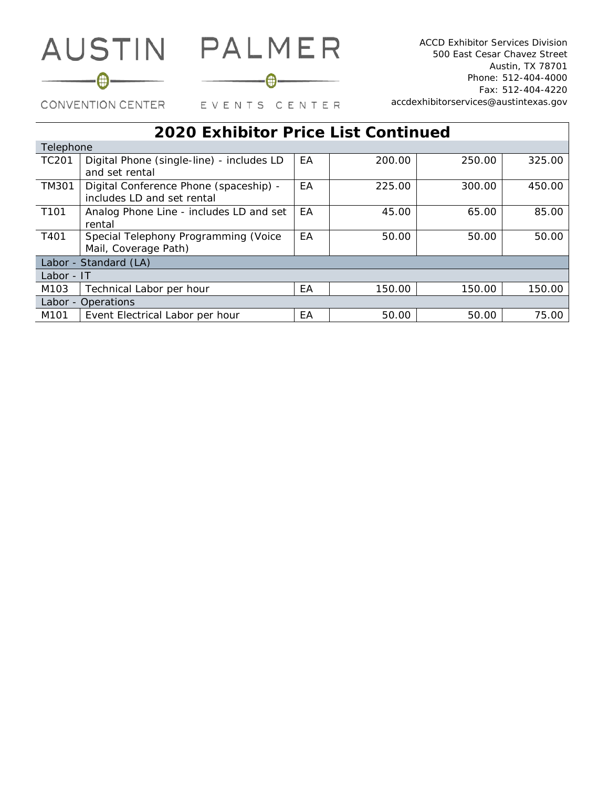

₩

EVENTS CENTER

ACCD Exhibitor Services Division 500 East Cesar Chavez Street Austin, TX 78701 Phone: 512-404-4000 Fax: 512-404-4220 accdexhibitorservices@austintexas.gov

# CONVENTION CENTER

# **2020 Exhibitor Price List Continued**

| Telephone             |                                           |    |        |        |        |
|-----------------------|-------------------------------------------|----|--------|--------|--------|
| <b>TC201</b>          | Digital Phone (single-line) - includes LD | EA | 200.00 | 250.00 | 325.00 |
|                       | and set rental                            |    |        |        |        |
| <b>TM301</b>          | Digital Conference Phone (spaceship) -    | EA | 225.00 | 300.00 | 450.00 |
|                       | includes LD and set rental                |    |        |        |        |
| T101                  | Analog Phone Line - includes LD and set   | EA | 45.00  | 65.00  | 85.00  |
|                       | rental                                    |    |        |        |        |
| T401                  | Special Telephony Programming (Voice      | EA | 50.00  | 50.00  | 50.00  |
|                       | Mail, Coverage Path)                      |    |        |        |        |
| Labor - Standard (LA) |                                           |    |        |        |        |
| Labor - IT            |                                           |    |        |        |        |
| M103                  | Technical Labor per hour                  | EA | 150.00 | 150.00 | 150.00 |
| Labor - Operations    |                                           |    |        |        |        |
| M <sub>101</sub>      | Event Electrical Labor per hour           | EA | 50.00  | 50.00  | 75.00  |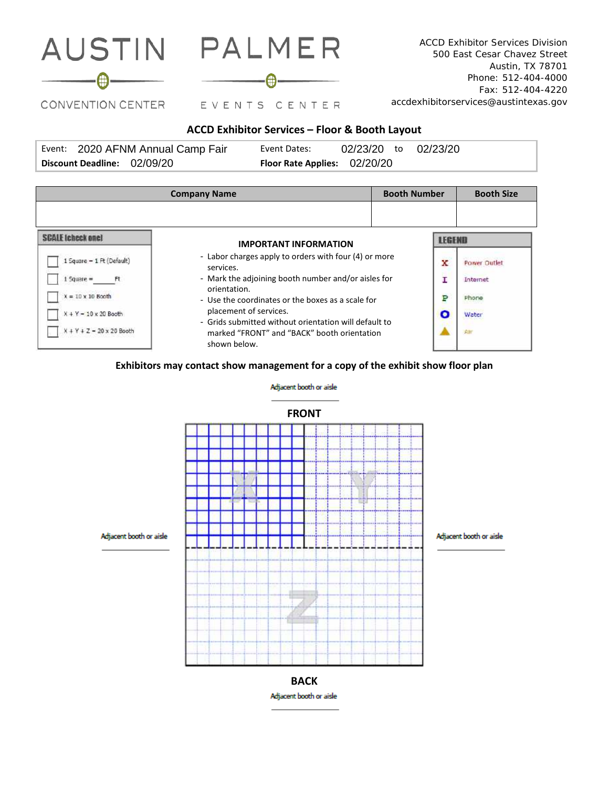

- Labor charges apply to orders with four (4) or more services. - Mark the adjoining booth number and/or aisles for orientation.

1 Square - 1 Pt (Default)

 $1$  Square = Ft

 $X + Y = 10 \times 20$  Booth

 $X + Y + Z = 20 \times 20$  Booth

 $\chi=10$  x 10 Booth

- Use the coordinates or the boxes as a scale for placement of services.
- Grids submitted without orientation will default to marked "FRONT" and "BACK" booth orientation shown below.

### **Exhibitors may contact show management for a copy of the exhibit show floor plan**

x

I

₽

 $\bullet$ 

Power Outlet

Internet

Phone

Water

**Gir**